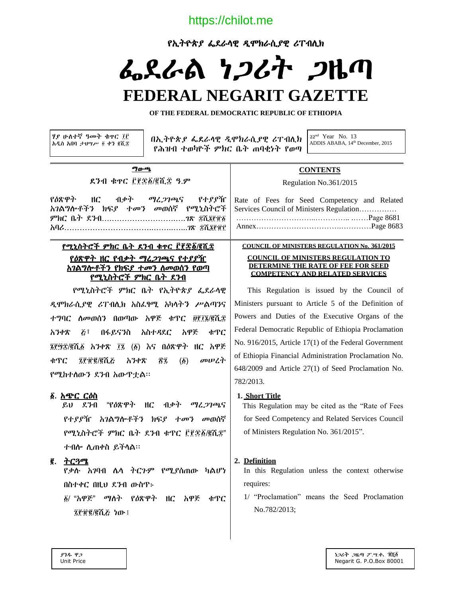https://chilot.me

የኢትዮጵያ ፌደራላዊ ዲሞክራሲያዊ ሪፐብሊክ

# ፌደራል ነጋሪት ጋዜጣ

# **FEDERAL NEGARIT GAZETTE**

**OF THE FEDERAL DEMOCRATIC REPUBLIC OF ETHIOPIA**

ሃያ ሁለተኛ ዓመት ቁጥር ፲፫ አዲስ አበባ ታህሣሥ ፬ ቀን ሺ፰

 በኢትዮጵያ ፌደራላዊ ዲሞክራሲያዊ ሪፐብሊክ የሕዝብ ተወካዮች ምክር ቤት ጠባቂነት የወጣ

22nd Year No. 13 ADDIS ABABA, 14th December, 2015

#### ማውጫ

ደንብ ቁጥር ፫፻፷፩/፪ሺ፰ ዓ.ም

የዕጽዋት ዘር ብቃት ማረጋገጫና የተያያዥ አገልግሎቶችን ክፍያ ተመን መወሰኛ የሚኒስትሮች ምክር ቤት ደንብ….…………………….….ገጽ ሺ፮፹፩ አባሪ……………………………..……..…...ገጽ ሺ፮፹፫

#### የሚኒስትሮች ምክር ቤት ደንብ ቁጥር ፫፻፷፩/፪ሺ፰ የዕጽዋት ዘር የብቃት ማረጋገጫና የተያያዥ አገልግሎቶችን የክፍያ ተመን ለመወሰን የወጣ የሚኒስትሮች ምክር ቤት ደንብ

 የሚኒስትሮች ምክር ቤት የኢትዮጵያ ፌደራላዊ ዲሞክራሲያዊ ሪፐብሊክ አስፈፃሚ አካላትን ሥልጣንና ተግባር ለመወሰን በወጣው አዋጅ ቁጥር ፱፻፲፮/፪ሺ፰ አንቀጽ ፭፣ በፋይናንስ አስተዳደር አዋጅ ቁጥር ፮፻፵፰/፪ሺ፩ አንቀጽ ፲፯ (፩) እና በዕጽዋት ዘር አዋጅ ቁጥር ፯፻፹፪/፪ሺ፭ አንቀጽ ፳፯ (፩) መሠረት የሚከተለውን ደንብ አውጥቷል፡፡

#### ፩. አጭር ርዕስ

 ይህ ደንብ "የዕጽዋት ዘር ብቃት ማረጋገጫና የተያያዥ አገልግሎቶችን ክፍያ ተመን መወሰኛ የሚኒስትሮች ምክር ቤት ደንብ ቁጥር ፫፻፷፩/፪ሺ፰" ተብሎ ሊጠቀስ ይችላል፡፡

#### ፪. ትርጓሜ

የቃሉ አገባብ ሌላ ትርጉም የሚያሰጠው ካልሆነ በስተቀር በዚህ ደንብ ውስጥ፦

፩/ "አዋጅ" ማለት የዕጽዋት ዘር አዋጅ ቁጥር ፯፻፹፪/፪ሺ፭ ነው፤

#### **CONTENTS**

Regulation No.361/2015

Rate of Fees for Seed Competency and Related Services Council of Ministers Regulation…………… …………………………..………….. .……Page 8681 Annex…………………………….…………Page 8683

#### **COUNCIL OF MINISTERS REGULATION No. 361/2015**

#### **COUNCIL OF MINISTERS REGULATION TO DETERMINE THE RATE OF FEE FOR SEED COMPETENCY AND RELATED SERVICES**

 This Regulation is issued by the Council of Ministers pursuant to Article 5 of the Definition of Powers and Duties of the Executive Organs of the Federal Democratic Republic of Ethiopia Proclamation No. 916/2015, Article 17(1) of the Federal Government of Ethiopia Financial Administration Proclamation No. 648/2009 and Article 27(1) of Seed Proclamation No. 782/2013.

#### **1. Short Title**

 This Regulation may be cited as the "Rate of Fees for Seed Competency and Related Services Council of Ministers Regulation No. 361/2015".

#### **2. Definition**

In this Regulation unless the context otherwise requires:

1/ "Proclamation" means the Seed Proclamation No.782/2013;